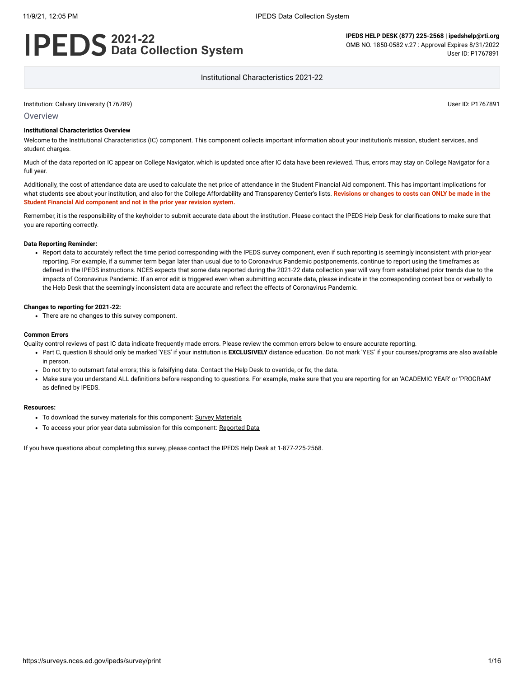# **2021-22 Data Collection System**

**IPEDS HELP DESK (877) 225-2568 | ipedshelp@rti.org** OMB NO. 1850-0582 v.27 : Approval Expires 8/31/2022 User ID: P1767891

Institutional Characteristics 2021-22

Institution: Calvary University (176789) User ID: P1767891

## Overview

#### **Institutional Characteristics Overview**

Welcome to the Institutional Characteristics (IC) component. This component collects important information about your institution's mission, student services, and student charges.

Much of the data reported on IC appear on College Navigator, which is updated once after IC data have been reviewed. Thus, errors may stay on College Navigator for a full year.

Additionally, the cost of attendance data are used to calculate the net price of attendance in the Student Financial Aid component. This has important implications for what students see about your institution, and also for the College Affordability and Transparency Center's lists. **Revisions or changes to costs can ONLY be made in the Student Financial Aid component and not in the prior year revision system.**

Remember, it is the responsibility of the keyholder to submit accurate data about the institution. Please contact the IPEDS Help Desk for clarifications to make sure that you are reporting correctly.

#### **Data Reporting Reminder:**

• Report data to accurately reflect the time period corresponding with the IPEDS survey component, even if such reporting is seemingly inconsistent with prior-year reporting. For example, if a summer term began later than usual due to to Coronavirus Pandemic postponements, continue to report using the timeframes as defined in the IPEDS instructions. NCES expects that some data reported during the 2021-22 data collection year will vary from established prior trends due to the impacts of Coronavirus Pandemic. If an error edit is triggered even when submitting accurate data, please indicate in the corresponding context box or verbally to the Help Desk that the seemingly inconsistent data are accurate and reflect the effects of Coronavirus Pandemic.

#### **Changes to reporting for 2021-22:**

There are no changes to this survey component.

#### **Common Errors**

Quality control reviews of past IC data indicate frequently made errors. Please review the common errors below to ensure accurate reporting.

- Part C, question 8 should only be marked 'YES' if your institution is **EXCLUSIVELY** distance education. Do not mark 'YES' if your courses/programs are also available in person.
- Do not try to outsmart fatal errors; this is falsifying data. Contact the Help Desk to override, or fix, the data.
- Make sure you understand ALL definitions before responding to questions. For example, make sure that you are reporting for an 'ACADEMIC YEAR' or 'PROGRAM' as defined by IPEDS.

#### **Resources:**

- To download the survey materials for this component: Survey [Materials](https://surveys.nces.ed.gov/ipeds/public/survey-materials/index)
- To access your prior year data submission for this component: [Reported Data](javascript:openReportedData(176789, 11))

If you have questions about completing this survey, please contact the IPEDS Help Desk at 1-877-225-2568.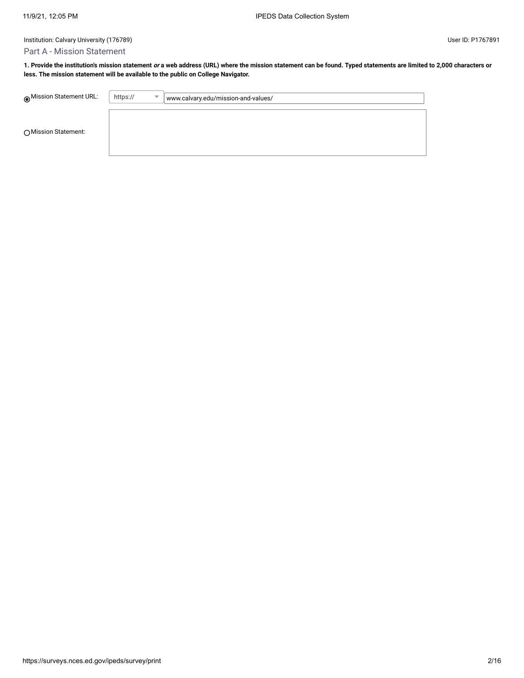#### Part A - Mission Statement

**1. Provide the institution's mission statement or a web address (URL) where the mission statement can be found. Typed statements are limited to 2,000 characters or less. The mission statement will be available to the public on College Navigator.**

| Mission Statement URL: | https:// | $\overline{\phantom{m}}$ | www.calvary.edu/mission-and-values/ |
|------------------------|----------|--------------------------|-------------------------------------|
| ◯ Mission Statement:   |          |                          |                                     |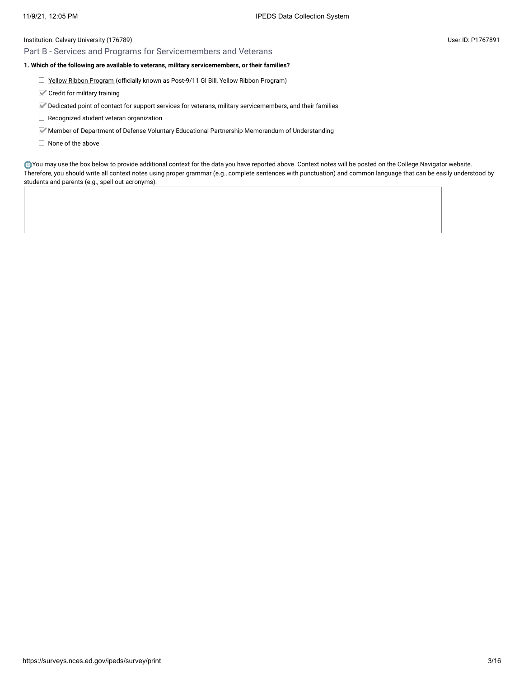## Part B - Services and Programs for Servicemembers and Veterans

- □ Yellow [Ribbon Program \(](javascript:openglossary(1044))officially known as Post-9/11 GI Bill, Yellow Ribbon Program)
- Credit for military [training](javascript:openglossary(1047))
- Dedicated point of contact for support services for veterans, military servicemembers, and their families
- $\Box$  Recognized student veteran organization
- Member of Department of [Defense Voluntary](javascript:openglossary(1069)) Educational Partnership Memorandum of Understanding
- $\Box$  None of the above

You may use the box below to provide additional context for the data you have reported above. Context notes will be posted on the College Navigator website. Therefore, you should write all context notes using proper grammar (e.g., complete sentences with punctuation) and common language that can be easily understood by students and parents (e.g., spell out acronyms).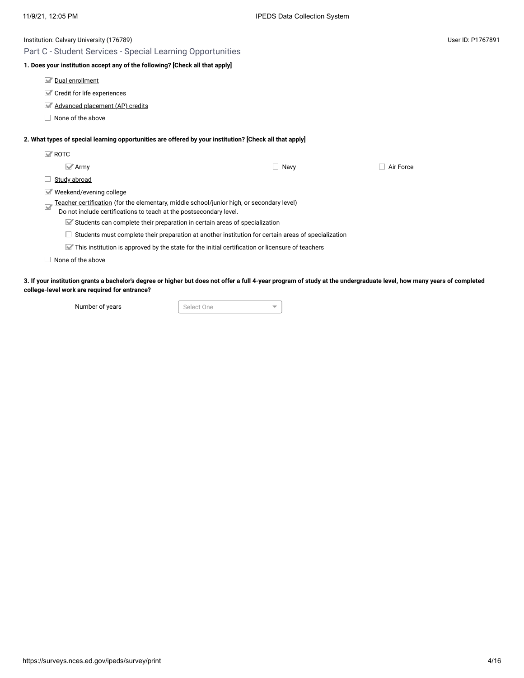| Institution: Calvary University (176789)                                                                                                                               |                      | User ID: P1767891 |
|------------------------------------------------------------------------------------------------------------------------------------------------------------------------|----------------------|-------------------|
| Part C - Student Services - Special Learning Opportunities                                                                                                             |                      |                   |
| 1. Does your institution accept any of the following? [Check all that apply]                                                                                           |                      |                   |
| Dual enrollment                                                                                                                                                        |                      |                   |
| Credit for life experiences                                                                                                                                            |                      |                   |
| Advanced placement (AP) credits<br>M                                                                                                                                   |                      |                   |
| None of the above                                                                                                                                                      |                      |                   |
| 2. What types of special learning opportunities are offered by your institution? [Check all that apply]                                                                |                      |                   |
| $\mathbb{Z}$ ROTC                                                                                                                                                      |                      |                   |
| $\mathbb{Z}$ Army                                                                                                                                                      | Navy<br>$\mathbf{I}$ | $\Box$ Air Force  |
| Study abroad                                                                                                                                                           |                      |                   |
| Weekend/evening college<br>M                                                                                                                                           |                      |                   |
| <u>Teacher certification</u> (for the elementary, middle school/junior high, or secondary level)<br>Do not include certifications to teach at the postsecondary level. |                      |                   |
| Students can complete their preparation in certain areas of specialization                                                                                             |                      |                   |
| Students must complete their preparation at another institution for certain areas of specialization                                                                    |                      |                   |
| $\blacktriangleright$ This institution is approved by the state for the initial certification or licensure of teachers                                                 |                      |                   |
| None of the above                                                                                                                                                      |                      |                   |
|                                                                                                                                                                        |                      |                   |

**3. If your institution grants a bachelor's degree or higher but does not offer a full 4-year program of study at the undergraduate level, how many years of completed college-level work are required for entrance?**

Number of years Select One

 $\overline{\phantom{a}}$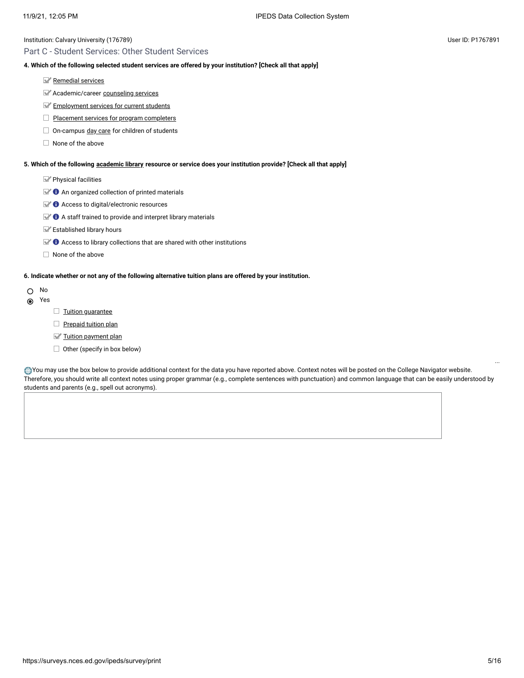## Part C - Student Services: Other Student Services

### **4. Which of the following selected student services are offered by your institution? [Check all that apply]**

- [Remedial](javascript:openglossary(547)) services
- Academic/career [counseling](javascript:openglossary(149)) services
- **[Employment](javascript:openglossary(195)) services for current students**
- □ Placement services for [program completers](javascript:openglossary(479))
- $\Box$  On-campus day [care](javascript:openglossary(165)) for children of students
- $\Box$  None of the above

## **5. Which of the following [academic library](javascript:openglossary(1015)) resource or service does your institution provide? [Check all that apply]**

Physical facilities

- $\blacktriangleright$  **O** An organized collection of printed materials
- $\mathbb{Z}$   $\bullet$  Access to digital/electronic resources
- $\blacktriangleright$   $\blacklozenge$  A staff trained to provide and interpret library materials
- Established library hours
- $\mathbb{R}$   $\bullet$  Access to library collections that are shared with other institutions
- $\Box$  None of the above

## **6. Indicate whether or not any of the following alternative tuition plans are offered by your institution.**

- O No
- Yes
- $\Box$  Tuition quarantee
- $\Box$  [Prepaid tuition plan](javascript:openglossary(950))
- [Tuition payment](javascript:openglossary(951)) plan
- $\Box$  Other (specify in box below)

You may use the box below to provide additional context for the data you have reported above. Context notes will be posted on the College Navigator website. Therefore, you should write all context notes using proper grammar (e.g., complete sentences with punctuation) and common language that can be easily understood by students and parents (e.g., spell out acronyms).

...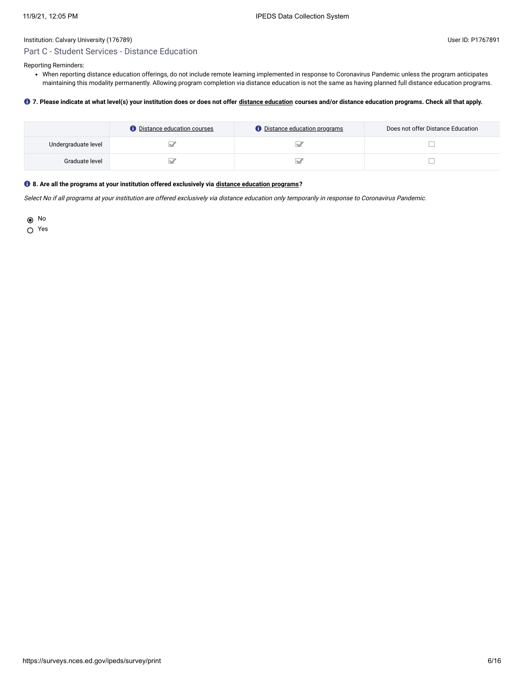## Institution: Calvary University (176789) User ID: P1767891 Part C - Student Services - Distance Education

#### Reporting Reminders:

When reporting distance education offerings, do not include remote learning implemented in response to Coronavirus Pandemic unless the program anticipates maintaining this modality permanently. Allowing program completion via distance education is not the same as having planned full distance education programs.

#### **7. Please indicate at what level(s) your institution does or does not offer [distance education](javascript:openglossary(713)) courses and/or distance education programs. Check all that apply.**

|                     | <b>O</b> Distance education courses | <b><i>O</i></b> Distance education programs | Does not offer Distance Education |
|---------------------|-------------------------------------|---------------------------------------------|-----------------------------------|
| Undergraduate level |                                     |                                             |                                   |
| Graduate level      |                                     |                                             |                                   |

## **8. Are all the programs at your institution offered exclusively via [distance education programs](javascript:openglossary(977))?**

Select No if all programs at your institution are offered exclusively via distance education only temporarily in response to Coronavirus Pandemic.

No

Yes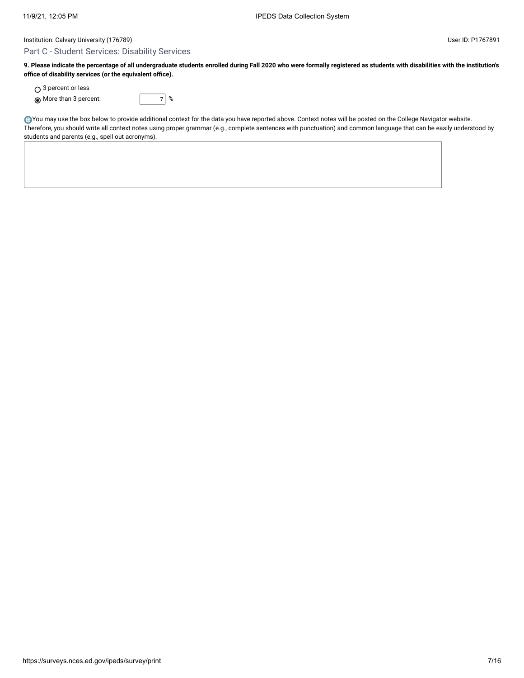## Part C - Student Services: Disability Services

**9. Please indicate the percentage of all undergraduate students enrolled during Fall 2020 who were formally registered as students with disabilities with the institution's office of disability services (or the equivalent office).**

○ 3 percent or less

More than 3 percent: 7 %

You may use the box below to provide additional context for the data you have reported above. Context notes will be posted on the College Navigator website. Therefore, you should write all context notes using proper grammar (e.g., complete sentences with punctuation) and common language that can be easily understood by students and parents (e.g., spell out acronyms).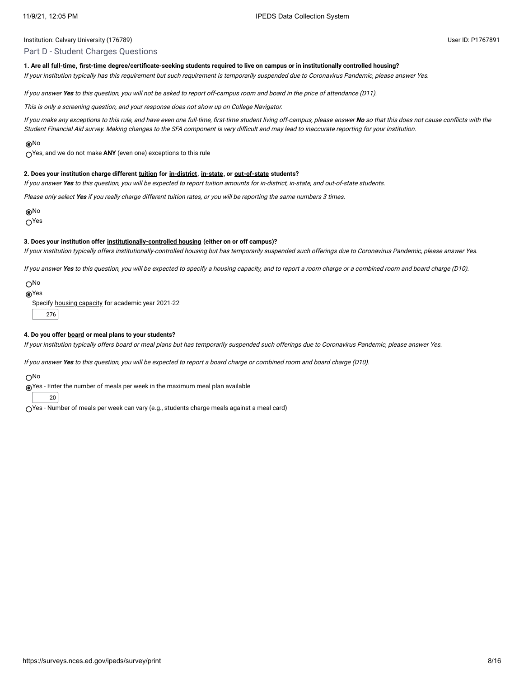#### Institution: Calvary University (176789) and the USE of the USE of the USE of the USE of the USE of the USE of the USE of the USE of the USE of the USE of the USE of the USE of the USE of the USE of the USE of the USE of t

#### Part D - Student Charges Questions

#### **1. Are all [full-time,](javascript:openglossary(259)) [first-time](javascript:openglossary(241)) degree/certificate-seeking students required to live on campus or in institutionally controlled housing?**

If your institution typically has this requirement but such requirement is temporarily suspended due to Coronavirus Pandemic, please answer Yes.

If you answer **Yes** to this question, you will not be asked to report off-campus room and board in the price of attendance (D11).

This is only <sup>a</sup> screening question, and your response does not show up on College Navigator.

If you make any exceptions to this rule, and have even one full-time, first-time student living off-campus, please answer **No** so that this does not cause conflicts with the Student Financial Aid survey. Making changes to the SFA component is very difficult and may lead to inaccurate reporting for your institution.

#### No

Yes, and we do not make **ANY** (even one) exceptions to this rule

#### **2. Does your institution charge different [tuition](javascript:openglossary(848)) for [in-district](javascript:openglossary(303)), [in-state,](javascript:openglossary(309)) or [out-of-state](javascript:openglossary(463)) students?**

If you answer **Yes** to this question, you will be expected to report tuition amounts for in-district, in-state, and out-of-state students.

Please only select **Yes** if you really charge different tuition rates, or you will be reporting the same numbers 3 times.

No

 $\bigcap$ Yes

#### **3. Does your institution offer [institutionally-controlled housing](javascript:openglossary(970)) (either on or off campus)?**

If your institution typically offers institutionally-controlled housing but has temporarily suspended such offerings due to Coronavirus Pandemic, please answer Yes.

If you answer **Yes** to this question, you will be expected to specify <sup>a</sup> housing capacity, and to report <sup>a</sup> room charge or <sup>a</sup> combined room and board charge (D10).

No

Yes

Specify housing [capacity](javascript:openglossary(185)) for academic year 2021-22

276

#### **4. Do you offer [board](javascript:openglossary(87)) or meal plans to your students?**

If your institution typically offers board or meal plans but has temporarily suspended such offerings due to Coronavirus Pandemic, please answer Yes.

If you answer **Yes** to this question, you will be expected to report <sup>a</sup> board charge or combined room and board charge (D10).

No

Yes - Enter the number of meals per week in the maximum meal plan available

20

 $\bigcirc$ Yes - Number of meals per week can vary (e.g., students charge meals against a meal card)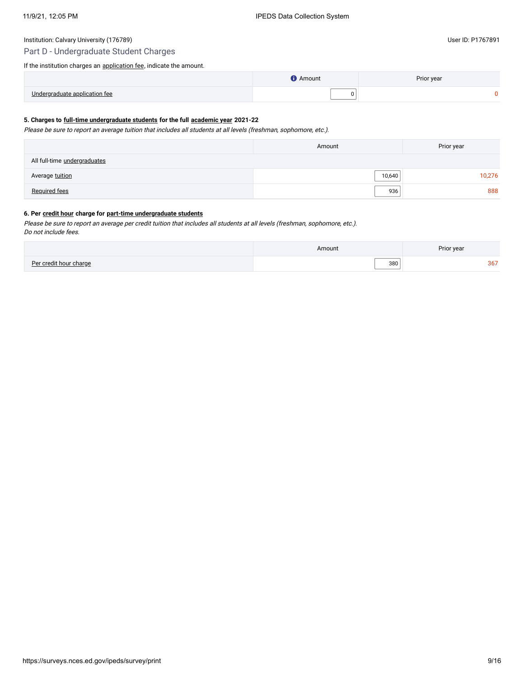## Part D - Undergraduate Student Charges

If the institution charges an **application fee**, indicate the amount.

|                                      | Amount | Prior year |
|--------------------------------------|--------|------------|
| <b>Lindorator</b><br>annlication tee | υ      |            |

#### **5. Charges to [full-time undergraduate students](javascript:openglossary(259)) for the full [academic year](javascript:openglossary(19)) 2021-22**

Please be sure to report an average tuition that includes all students at all levels (freshman, sophomore, etc.).

|                              | Amount | Prior year |
|------------------------------|--------|------------|
| All full-time undergraduates |        |            |
| Average tuition              | 10,640 | 10,276     |
| <b>Required fees</b>         | 936    | 888        |

#### **6. Per [credit hour](javascript:openglossary(155)) charge for [part-time undergraduate students](javascript:openglossary(469))**

Please be sure to report an average per credit tuition that includes all students at all levels (freshman, sophomore, etc.). Do not include fees.

|            | Amount | $-$<br>Prior year |
|------------|--------|-------------------|
| ה∼⊓<br>™∩^ | 380    | --                |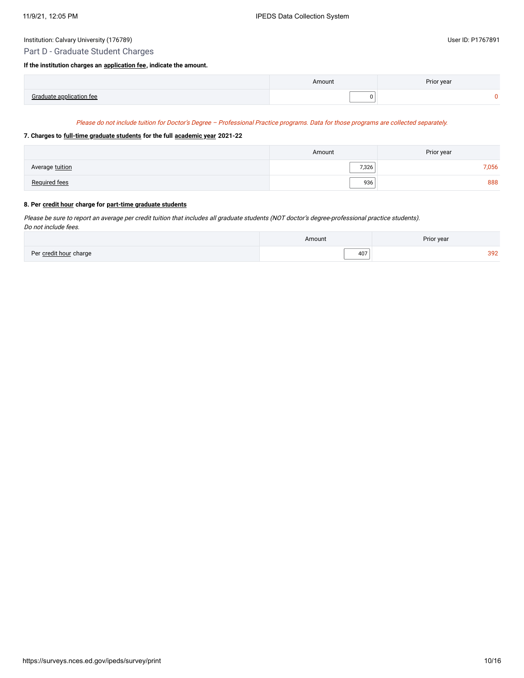## Part D - Graduate Student Charges

#### **If the institution charges an [application fee](javascript:openglossary(47)), indicate the amount.**

|                          | Amoun | Prior year |
|--------------------------|-------|------------|
| Craduate application for |       |            |

#### Please do not include tuition for Doctor's Degree – Professional Practice programs. Data for those programs are collected separately.

#### **7. Charges to [full-time graduate students](javascript:openglossary(259)) for the full [academic year](javascript:openglossary(19)) 2021-22**

|                      | Amount | Prior year |
|----------------------|--------|------------|
| Average tuition      | 7,326  | 7,056      |
| <b>Required fees</b> | 936    | 888        |

## **8. Per [credit hour](javascript:openglossary(155)) charge for [part-time graduate students](javascript:openglossary(469))**

Please be sure to report an average per credit tuition that includes all graduate students (NOT doctor's degree-professional practice students). Do not include fees.

|                        | Amoun | Prior year             |
|------------------------|-------|------------------------|
| Per credit hour charge | 407   | 20 <sup>c</sup><br>op. |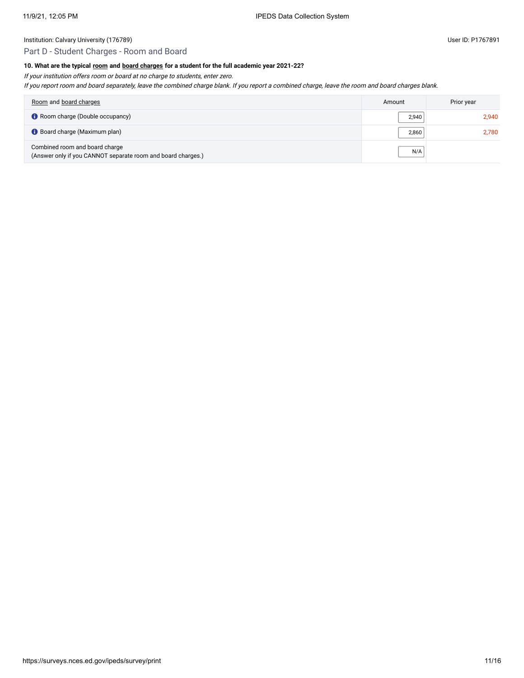## Part D - Student Charges - Room and Board

## **10. What are the typical [room](javascript:openglossary(565)) and [board charges](javascript:openglossary(87)) for a student for the full academic year 2021-22?**

If your institution offers room or board at no charge to students, enter zero.

If you report room and board separately, leave the combined charge blank. If you report <sup>a</sup> combined charge, leave the room and board charges blank.

| Room and board charges                                                                         | Amount | Prior year |
|------------------------------------------------------------------------------------------------|--------|------------|
| Room charge (Double occupancy)                                                                 | 2,940  | 2.940      |
| Board charge (Maximum plan)                                                                    | 2.860  | 2.780      |
| Combined room and board charge<br>(Answer only if you CANNOT separate room and board charges.) | N/A    |            |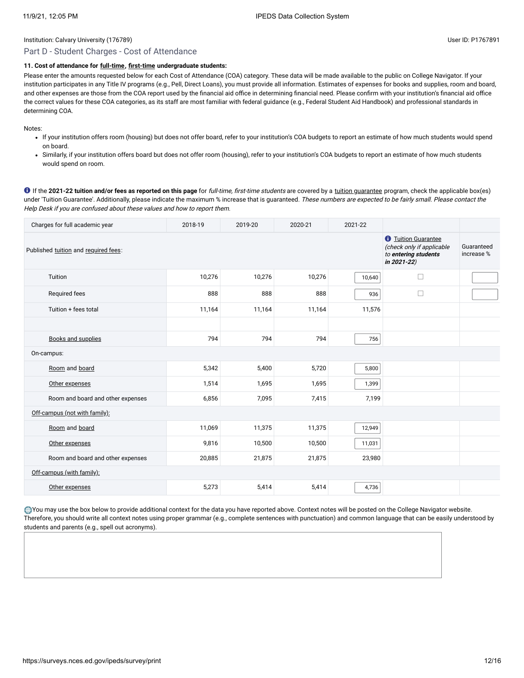### Part D - Student Charges - Cost of Attendance

### **11. Cost of attendance for [full-time](javascript:openglossary(259)), [first-time](javascript:openglossary(241)) undergraduate students:**

Please enter the amounts requested below for each Cost of Attendance (COA) category. These data will be made available to the public on College Navigator. If your institution participates in any Title IV programs (e.g., Pell, Direct Loans), you must provide all information. Estimates of expenses for books and supplies, room and board, and other expenses are those from the COA report used by the financial aid office in determining financial need. Please confirm with your institution's financial aid office the correct values for these COA categories, as its staff are most familiar with federal guidance (e.g., Federal Student Aid Handbook) and professional standards in determining COA.

Notes:

- If your institution offers room (housing) but does not offer board, refer to your institution's COA budgets to report an estimate of how much students would spend on board.
- Similarly, if your institution offers board but does not offer room (housing), refer to your institution's COA budgets to report an estimate of how much students would spend on room.

**If the 2021-22 tuition and/or fees as reported on this page** for full-time, first-time students are covered by a [tuition guarantee](javascript:openglossary(949)) program, check the applicable box(es) under 'Tuition Guarantee'. Additionally, please indicate the maximum % increase that is guaranteed. These numbers are expected to be fairly small. Please contact the Help Desk if you are confused about these values and how to report them.

| Charges for full academic year       | 2018-19 | 2019-20 | 2020-21 | 2021-22 |                                                                                                       |                          |
|--------------------------------------|---------|---------|---------|---------|-------------------------------------------------------------------------------------------------------|--------------------------|
| Published tuition and required fees: |         |         |         |         | <b><i>O</i></b> Tuition Guarantee<br>(check only if applicable<br>to entering students<br>in 2021-22) | Guaranteed<br>increase % |
| Tuition                              | 10,276  | 10,276  | 10,276  | 10,640  | □                                                                                                     |                          |
| <b>Required fees</b>                 | 888     | 888     | 888     | 936     | □                                                                                                     |                          |
| Tuition + fees total                 | 11,164  | 11,164  | 11,164  | 11,576  |                                                                                                       |                          |
|                                      |         |         |         |         |                                                                                                       |                          |
| <b>Books and supplies</b>            | 794     | 794     | 794     | 756     |                                                                                                       |                          |
| On-campus:                           |         |         |         |         |                                                                                                       |                          |
| Room and board                       | 5,342   | 5,400   | 5,720   | 5,800   |                                                                                                       |                          |
| Other expenses                       | 1,514   | 1,695   | 1,695   | 1,399   |                                                                                                       |                          |
| Room and board and other expenses    | 6,856   | 7,095   | 7,415   | 7,199   |                                                                                                       |                          |
| Off-campus (not with family):        |         |         |         |         |                                                                                                       |                          |
| Room and board                       | 11,069  | 11,375  | 11,375  | 12,949  |                                                                                                       |                          |
| Other expenses                       | 9,816   | 10,500  | 10,500  | 11,031  |                                                                                                       |                          |
| Room and board and other expenses    | 20,885  | 21,875  | 21,875  | 23,980  |                                                                                                       |                          |
| Off-campus (with family):            |         |         |         |         |                                                                                                       |                          |
| Other expenses                       | 5,273   | 5,414   | 5,414   | 4,736   |                                                                                                       |                          |

You may use the box below to provide additional context for the data you have reported above. Context notes will be posted on the College Navigator website. Therefore, you should write all context notes using proper grammar (e.g., complete sentences with punctuation) and common language that can be easily understood by students and parents (e.g., spell out acronyms).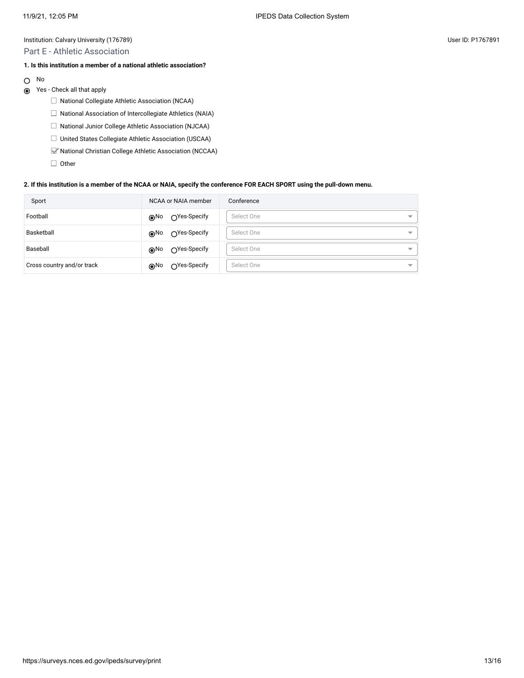Part E - Athletic Association

## **1. Is this institution a member of a national athletic association?**

- No  $\circ$
- Yes Check all that apply
	- $\Box$  National Collegiate Athletic Association (NCAA)
	- $\Box$  National Association of Intercollegiate Athletics (NAIA)
	- □ National Junior College Athletic Association (NJCAA)
	- □ United States Collegiate Athletic Association (USCAA)
	- National Christian College Athletic Association (NCCAA)

 $\Box$  Other

#### **2. If this institution is a member of the NCAA or NAIA, specify the conference FOR EACH SPORT using the pull-down menu.**

| Sport                      | NCAA or NAIA member  | Conference                             |
|----------------------------|----------------------|----------------------------------------|
| Football                   | ◯Yes-Specify<br>(∩No | Select One<br>$\overline{\phantom{a}}$ |
| Basketball                 | ○Yes-Specify<br>∩No  | Select One<br>$\overline{\phantom{a}}$ |
| Baseball                   | ○Yes-Specify<br>⊛No  | Select One<br>$\overline{\phantom{a}}$ |
| Cross country and/or track | ∩Yes-Specify<br>(∩No | Select One<br>$\overline{\phantom{a}}$ |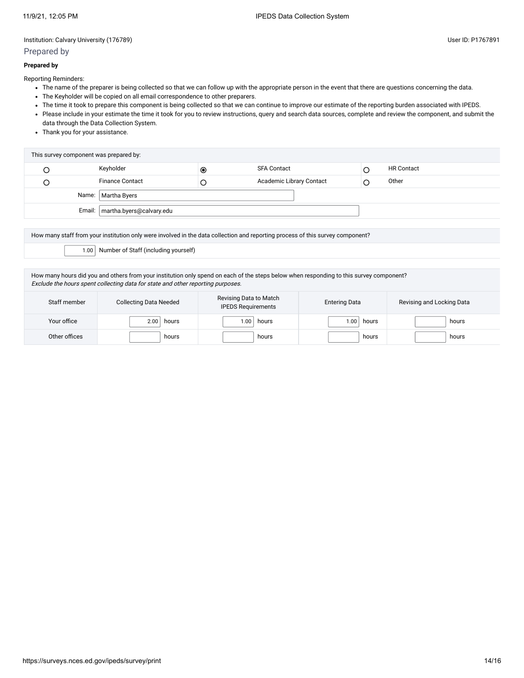## Prepared by

#### **Prepared by**

Reporting Reminders:

- The name of the preparer is being collected so that we can follow up with the appropriate person in the event that there are questions concerning the data.
- The Keyholder will be copied on all email correspondence to other preparers.
- The time it took to prepare this component is being collected so that we can continue to improve our estimate of the reporting burden associated with IPEDS.
- Please include in your estimate the time it took for you to review instructions, query and search data sources, complete and review the component, and submit the data through the Data Collection System.
- Thank you for your assistance.

| This survey component was prepared by: |                        |            |                          |  |                   |  |  |  |  |
|----------------------------------------|------------------------|------------|--------------------------|--|-------------------|--|--|--|--|
|                                        | Keyholder              | $_{\odot}$ | <b>SFA Contact</b>       |  | <b>HR Contact</b> |  |  |  |  |
|                                        | <b>Finance Contact</b> |            | Academic Library Contact |  | Other             |  |  |  |  |
|                                        | Name:   Martha Byers   |            |                          |  |                   |  |  |  |  |
| Email:   martha.byers@calvary.edu      |                        |            |                          |  |                   |  |  |  |  |

How many staff from your institution only were involved in the data collection and reporting process of this survey component?

1.00 Number of Staff (including yourself)

How many hours did you and others from your institution only spend on each of the steps below when responding to this survey component? Exclude the hours spent collecting data for state and other reporting purposes.

| Staff member  | <b>Collecting Data Needed</b> | Revising Data to Match<br><b>IPEDS Requirements</b> | <b>Entering Data</b> | Revising and Locking Data |
|---------------|-------------------------------|-----------------------------------------------------|----------------------|---------------------------|
| Your office   | 2.00<br>hours                 | .00<br>hours                                        | 00.1<br>hours        | hours                     |
| Other offices | hours                         | hours                                               | hours                | hours                     |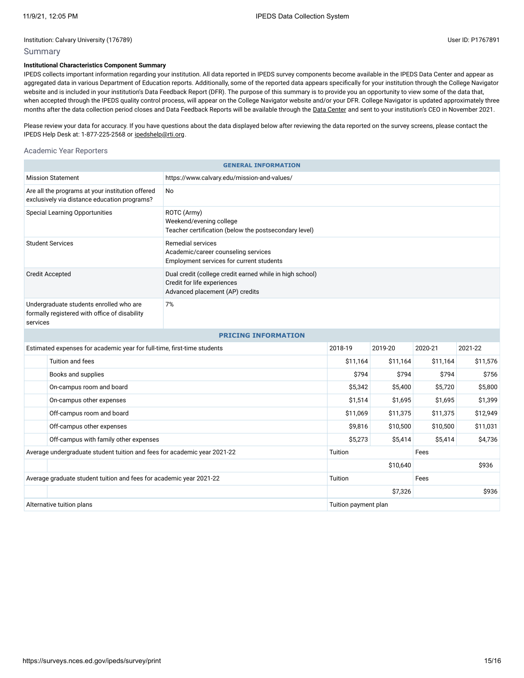### Summary

#### **Institutional Characteristics Component Summary**

IPEDS collects important information regarding your institution. All data reported in IPEDS survey components become available in the IPEDS Data Center and appear as aggregated data in various Department of Education reports. Additionally, some of the reported data appears specifically for your institution through the College Navigator website and is included in your institution's Data Feedback Report (DFR). The purpose of this summary is to provide you an opportunity to view some of the data that, when accepted through the IPEDS quality control process, will appear on the College Navigator website and/or your DFR. College Navigator is updated approximately three months after the data collection period closes and Data Feedback Reports will be available through the Data [Center](https://nces.ed.gov/ipeds/use-the-data) and sent to your institution's CEO in November 2021.

Please review your data for accuracy. If you have questions about the data displayed below after reviewing the data reported on the survey screens, please contact the IPEDS Help Desk at: 1-877-225-2568 or [ipedshelp@rti.org.](mailto:ipedshelp@rti.org)

#### Academic Year Reporters

| <b>GENERAL INFORMATION</b>                                                                           |                           |                                                                                                                            |                      |          |          |          |  |  |
|------------------------------------------------------------------------------------------------------|---------------------------|----------------------------------------------------------------------------------------------------------------------------|----------------------|----------|----------|----------|--|--|
| <b>Mission Statement</b>                                                                             |                           | https://www.calvary.edu/mission-and-values/                                                                                |                      |          |          |          |  |  |
| Are all the programs at your institution offered<br>exclusively via distance education programs?     |                           | <b>No</b>                                                                                                                  |                      |          |          |          |  |  |
| <b>Special Learning Opportunities</b>                                                                |                           | ROTC (Army)<br>Weekend/evening college<br>Teacher certification (below the postsecondary level)                            |                      |          |          |          |  |  |
| <b>Student Services</b>                                                                              |                           | <b>Remedial services</b><br>Academic/career counseling services<br>Employment services for current students                |                      |          |          |          |  |  |
| <b>Credit Accepted</b>                                                                               |                           | Dual credit (college credit earned while in high school)<br>Credit for life experiences<br>Advanced placement (AP) credits |                      |          |          |          |  |  |
| Undergraduate students enrolled who are<br>formally registered with office of disability<br>services |                           | 7%                                                                                                                         |                      |          |          |          |  |  |
| <b>PRICING INFORMATION</b>                                                                           |                           |                                                                                                                            |                      |          |          |          |  |  |
| Estimated expenses for academic year for full-time, first-time students                              |                           |                                                                                                                            | 2018-19              | 2019-20  | 2020-21  | 2021-22  |  |  |
| Tuition and fees                                                                                     |                           |                                                                                                                            | \$11,164             | \$11,164 | \$11,164 | \$11,576 |  |  |
| Books and supplies                                                                                   |                           |                                                                                                                            | \$794                | \$794    | \$794    | \$756    |  |  |
| On-campus room and board                                                                             |                           |                                                                                                                            | \$5,342              | \$5,400  | \$5,720  | \$5,800  |  |  |
| On-campus other expenses                                                                             |                           |                                                                                                                            | \$1,514              | \$1,695  | \$1,695  | \$1,399  |  |  |
| Off-campus room and board                                                                            |                           |                                                                                                                            | \$11,069             | \$11,375 | \$11,375 | \$12,949 |  |  |
|                                                                                                      | Off-campus other expenses |                                                                                                                            |                      | \$10,500 | \$10,500 | \$11,031 |  |  |
| Off-campus with family other expenses                                                                |                           |                                                                                                                            | \$5,273              | \$5,414  | \$5,414  | \$4,736  |  |  |
| Average undergraduate student tuition and fees for academic year 2021-22                             |                           |                                                                                                                            | Tuition              |          | Fees     |          |  |  |
|                                                                                                      |                           | \$10,640                                                                                                                   |                      | \$936    |          |          |  |  |
| Average graduate student tuition and fees for academic year 2021-22                                  |                           |                                                                                                                            | Tuition              |          | Fees     |          |  |  |
|                                                                                                      |                           |                                                                                                                            |                      | \$7,326  |          | \$936    |  |  |
| Alternative tuition plans                                                                            |                           |                                                                                                                            | Tuition payment plan |          |          |          |  |  |